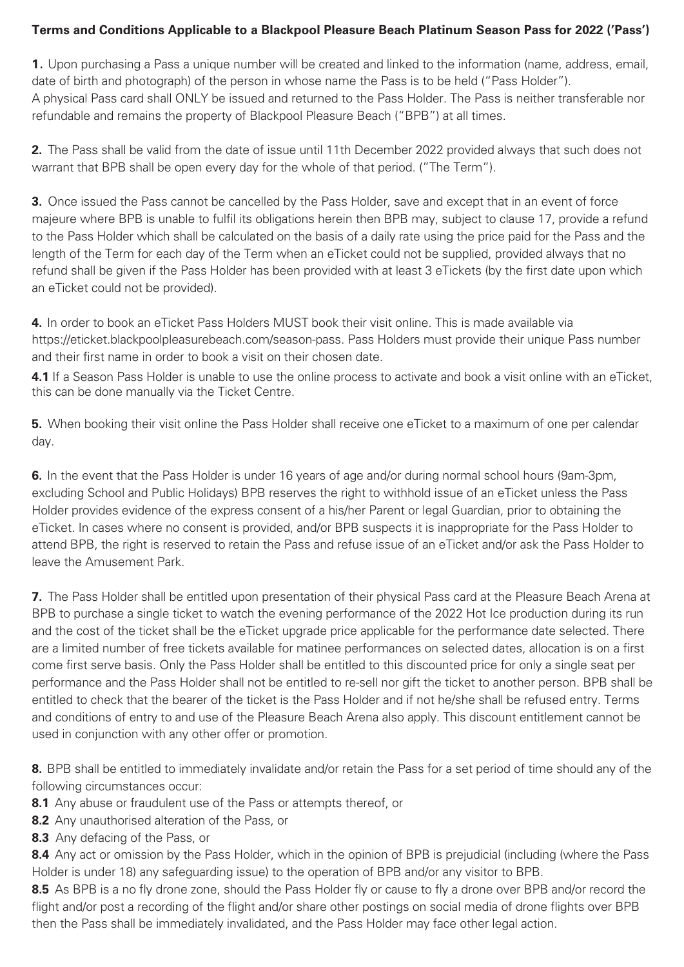## **Terms and Conditions Applicable to a Blackpool Pleasure Beach Platinum Season Pass for 2021 ('Pass') 2022**

**1.** Upon purchasing a Pass a unique number will be created and linked to the information (name, address, email, date of birth and photograph) of the person in whose name the Pass is to be held ("Pass Holder"). A physical Pass card shall ONLY be issued and returned to the Pass Holder. The Pass is neither transferable nor refundable and remains the property of Blackpool Pleasure Beach ("BPB") at all times. 1. Upon purchasing a Pass a unique number will be created and linked to the information (name, address, email<br>date of birth and photograph) of the person in whose name the Pass is to be held ("Pass Holder").<br>A physical Pas

**2.** The Pass shall be valid from the date of issue until 11th December 2022 provided always that such does not warrant that BPB shall be open every day for the whole of that period. ("The Term").

**3.** Once issued the Pass cannot be cancelled by the Pass Holder, save and except that in an event of force majeure where BPB is unable to fulfil its obligations herein then BPB may, subject to clause 17, provide a refund to the Pass Holder which shall be calculated on the basis of a daily rate using the price paid for the Pass and the length of the Term for each day of the Term when an eTicket could not be supplied, provided always that no refund shall be given if the Pass Holder has been provided with at least 3 eTickets (by the first date upon which an eTicket could not be provided). majeure where BPB is unable to fulfil its obligations herein then BPB may, subject to clause 17, provide a refund<br>to the Pass Holder which shall be calculated on the basis of a daily rate using the price paid for the Pass

**4.** In order to book an eTicket Pass Holders MUST book their visit online. This is made available via https://eticket.blackpoolpleasurebeach.com/season-pass. Pass Holders must provide their unique Pass number and their first name in order to book a visit on their chosen date. **4.** In order to book an eTicket Pass Holders MUST book their visit online. This is made available via<br>https://eticket.blackpoolpleasurebeach.com/season-pass. Pass Holders must provide their unique Pass<br>and their first nam

this can be done manually via the Ticket Centre. **The same of one per calendary of one per calendary of one per c 4.1** If a Season Pass Holder is unable to use the online process to activate and book a visit online with an eTicket,

**6.** In the event that the Pass Holder is under 16 years of age and/or during normal school hours (9am-3pm, **5.** When booking their visit online the Pass Holder shall receive one eTicket to a maximum of one per calendar day.

**6.** In the event that the Pass Holder is under 16 years of age and/or during normal school hours (9am-3pm, excluding School and Public Holidays) BPB reserves the right to withhold issue of an eTicket unless the Pass Holder provides evidence of the express consent of a his/her Parent or legal Guardian, prior to obtaining the eTicket. In cases where no consent is provided, and/or BPB suspects it is inappropriate for the Pass Holder to leave the Amusement Park. **The entitled upon presentation of the Pleasure Beach Arena at the Pleasure Beach Arena at the Pleasure Beach Arena at the Pleasure Beach Arena at the Pleasure Beach Arena at the Pleasure Beach Ar** attend BPB, the right is reserved to retain the Pass and refuse issue of an eTicket and/or ask the Pass Holder to

**7.** The Pass Holder shall be entitled upon presentation of their physical Pass card at the Pleasure Beach Arena at BPB to purchase a single ticket to watch the evening performance of the 2022 Hot Ice production during its run and the cost of the ticket shall be the eTicket upgrade price applicable for the performance date selected. There are a limited number of free tickets available for matinee performances on selected dates, allocation is on a first come first serve basis. Only the Pass Holder shall be entitled to this discounted price for only a single seat per performance and the Pass Holder shall not be entitled to re-sell nor gift the ticket to another person. BPB shall be entitled to check that the bearer of the ticket is the Pass Holder and if not he/she shall be refused entry. Terms used in conjunction with any other offer or promotion. and conditions of entry to and use of the Pleasure Beach Arena also apply. This discount entitlement cannot be

**8.** BPB shall be entitled to immediately invalidate and/or retain the Pass for a set period of time should any of the following circumstances occur:

**8.1** Any abuse or fraudulent use of the Pass or attempts thereof, or

**8.2** Any unauthorised alteration of the Pass, or

**8.3** Any defacing of the Pass, or and and or any visitor to BPB.

**8.4** Any act or omission by the Pass Holder, which in the opinion of BPB is prejudicial (including (where the Pass Holder is under 18) any safeguarding issue) to the operation of BPB and/or any visitor to BPB.

**8.5** As BPB is a no fly drone zone, should the Pass Holder fly or cause to fly a drone over BPB and/or record the flight and/or post a recording of the flight and/or share other postings on social media of drone flights over BPB then the Pass shall be immediately invalidated, and the Pass Holder may face other legal action.